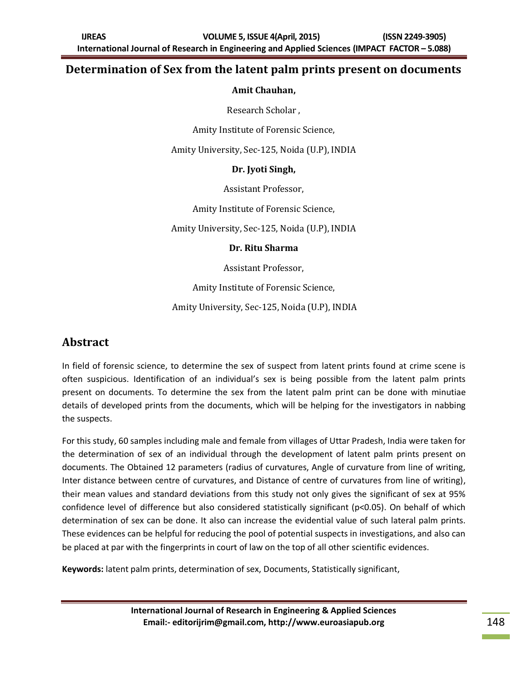#### **Determination of Sex from the latent palm prints present on documents**

#### **Amit Chauhan,**

Research Scholar ,

Amity Institute of Forensic Science,

Amity University, Sec-125, Noida (U.P), INDIA

#### **Dr. Jyoti Singh,**

Assistant Professor,

Amity Institute of Forensic Science,

Amity University, Sec-125, Noida (U.P), INDIA

#### **Dr. Ritu Sharma**

Assistant Professor,

Amity Institute of Forensic Science,

Amity University, Sec-125, Noida (U.P), INDIA

#### **Abstract**

In field of forensic science, to determine the sex of suspect from latent prints found at crime scene is often suspicious. Identification of an individual's sex is being possible from the latent palm prints present on documents. To determine the sex from the latent palm print can be done with minutiae details of developed prints from the documents, which will be helping for the investigators in nabbing the suspects.

For this study, 60 samples including male and female from villages of Uttar Pradesh, India were taken for the determination of sex of an individual through the development of latent palm prints present on documents. The Obtained 12 parameters (radius of curvatures, Angle of curvature from line of writing, Inter distance between centre of curvatures, and Distance of centre of curvatures from line of writing), their mean values and standard deviations from this study not only gives the significant of sex at 95% confidence level of difference but also considered statistically significant (p<0.05). On behalf of which determination of sex can be done. It also can increase the evidential value of such lateral palm prints. These evidences can be helpful for reducing the pool of potential suspects in investigations, and also can be placed at par with the fingerprints in court of law on the top of all other scientific evidences.

**Keywords:** latent palm prints, determination of sex, Documents, Statistically significant,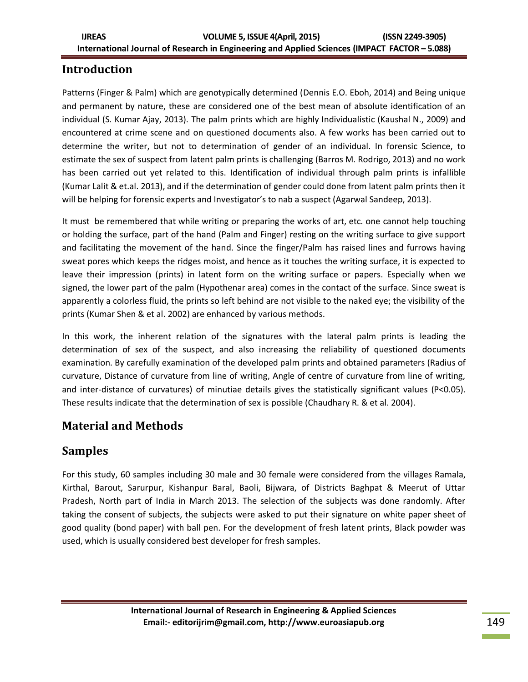# **Introduction**

Patterns (Finger & Palm) which are genotypically determined [\(Dennis E.O. Eboh,](http://www.jecajournal.org/searchresult.asp?search=&author=Dennis+E%2EO%2E+Eboh&journal=Y&but_search=Search&entries=10&pg=1&s=0) 2014) and Being unique and permanent by nature, these are considered one of the best mean of absolute identification of an individual (S. Kumar Ajay, 2013). The palm prints which are highly Individualistic (Kaushal N., 2009) and encountered at crime scene and on questioned documents also. A few works has been carried out to determine the writer, but not to determination of gender of an individual. In forensic Science, to estimate the sex of suspect from latent palm prints is challenging (Barros M. Rodrigo, 2013) and no work has been carried out yet related to this. Identification of individual through palm prints is infallible (Kumar Lalit & et.al. 2013), and if the determination of gender could done from latent palm prints then it will be helping for forensic experts and Investigator's to nab a suspect (Agarwal Sandeep, 2013).

It must be remembered that while writing or preparing the works of art, etc. one cannot help touching or holding the surface, part of the hand (Palm and Finger) resting on the writing surface to give support and facilitating the movement of the hand. Since the finger/Palm has raised lines and furrows having sweat pores which keeps the ridges moist, and hence as it touches the writing surface, it is expected to leave their impression (prints) in latent form on the writing surface or papers. Especially when we signed, the lower part of the palm (Hypothenar area) comes in the contact of the surface. Since sweat is apparently a colorless fluid, the prints so left behind are not visible to the naked eye; the visibility of the prints (Kumar Shen & et al. 2002) are enhanced by various methods.

In this work, the inherent relation of the signatures with the lateral palm prints is leading the determination of sex of the suspect, and also increasing the reliability of questioned documents examination. By carefully examination of the developed palm prints and obtained parameters (Radius of curvature, Distance of curvature from line of writing, Angle of centre of curvature from line of writing, and inter-distance of curvatures) of minutiae details gives the statistically significant values (P<0.05). These results indicate that the determination of sex is possible (Chaudhary R. & et al. 2004).

## **Material and Methods**

## **Samples**

For this study, 60 samples including 30 male and 30 female were considered from the villages Ramala, Kirthal, Barout, Sarurpur, Kishanpur Baral, Baoli, Bijwara, of Districts Baghpat & Meerut of Uttar Pradesh, North part of India in March 2013. The selection of the subjects was done randomly. After taking the consent of subjects, the subjects were asked to put their signature on white paper sheet of good quality (bond paper) with ball pen. For the development of fresh latent prints, Black powder was used, which is usually considered best developer for fresh samples.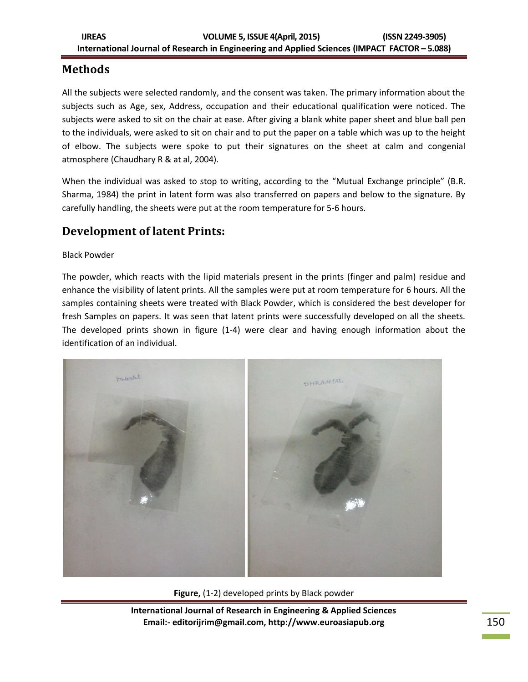## **Methods**

All the subjects were selected randomly, and the consent was taken. The primary information about the subjects such as Age, sex, Address, occupation and their educational qualification were noticed. The subjects were asked to sit on the chair at ease. After giving a blank white paper sheet and blue ball pen to the individuals, were asked to sit on chair and to put the paper on a table which was up to the height of elbow. The subjects were spoke to put their signatures on the sheet at calm and congenial atmosphere (Chaudhary R & at al, 2004).

When the individual was asked to stop to writing, according to the "Mutual Exchange principle" (B.R. Sharma, 1984) the print in latent form was also transferred on papers and below to the signature. By carefully handling, the sheets were put at the room temperature for 5-6 hours.

### **Development of latent Prints:**

Black Powder

The powder, which reacts with the lipid materials present in the prints (finger and palm) residue and enhance the visibility of latent prints. All the samples were put at room temperature for 6 hours. All the samples containing sheets were treated with Black Powder, which is considered the best developer for fresh Samples on papers. It was seen that latent prints were successfully developed on all the sheets. The developed prints shown in figure (1-4) were clear and having enough information about the identification of an individual.



**Figure,** (1-2) developed prints by Black powder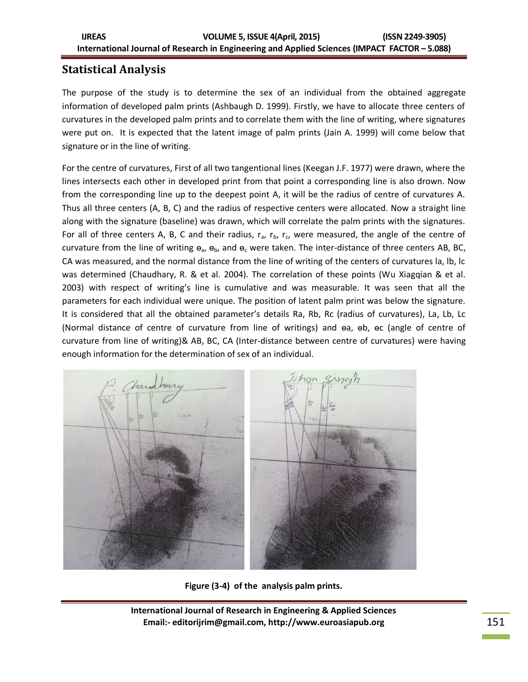# **Statistical Analysis**

The purpose of the study is to determine the sex of an individual from the obtained aggregate information of developed palm prints (Ashbaugh D. 1999). Firstly, we have to allocate three centers of curvatures in the developed palm prints and to correlate them with the line of writing, where signatures were put on. It is expected that the latent image of palm prints (Jain A. 1999) will come below that signature or in the line of writing.

For the centre of curvatures, First of all two tangentional lines (Keegan J.F. 1977) were drawn, where the lines intersects each other in developed print from that point a corresponding line is also drown. Now from the corresponding line up to the deepest point A, it will be the radius of centre of curvatures A. Thus all three centers (A, B, C) and the radius of respective centers were allocated. Now a straight line along with the signature (baseline) was drawn, which will correlate the palm prints with the signatures. For all of three centers A, B, C and their radius,  $r_a$ ,  $r_b$ ,  $r_c$ , were measured, the angle of the centre of curvature from the line of writing  $\Theta_{a}$ ,  $\Theta_{b}$ , and  $\Theta_{c}$  were taken. The inter-distance of three centers AB, BC, CA was measured, and the normal distance from the line of writing of the centers of curvatures la, lb, lc was determined (Chaudhary, R. & et al. 2004). The correlation of these points (Wu Xiagqian & et al. 2003) with respect of writing's line is cumulative and was measurable. It was seen that all the parameters for each individual were unique. The position of latent palm print was below the signature. It is considered that all the obtained parameter's details Ra, Rb, Rc (radius of curvatures), La, Lb, Lc (Normal distance of centre of curvature from line of writings) and ɵa, ɵb, ɵc (angle of centre of curvature from line of writing)& AB, BC, CA (Inter-distance between centre of curvatures) were having enough information for the determination of sex of an individual.



**Figure (3-4) of the analysis palm prints.**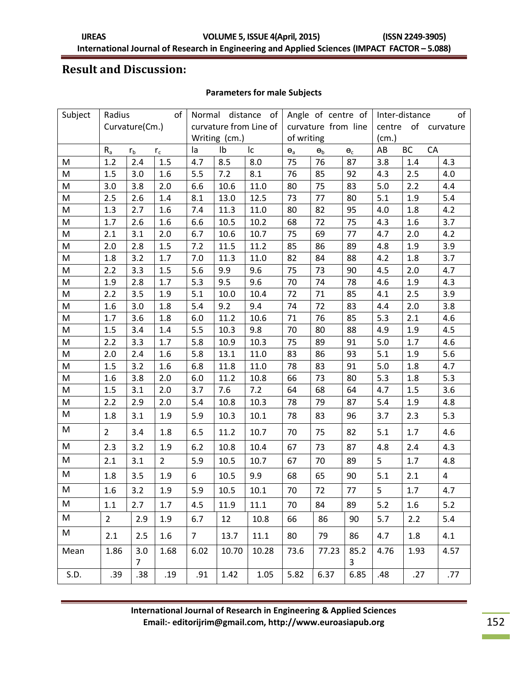### **Result and Discussion:**

#### **Parameters for male Subjects**

| Subject | Radius<br>of                |                    |                 | distance<br>Normal<br>of |       | Angle of centre of                      |                     | of<br>Inter-distance |                |                        |         |                |
|---------|-----------------------------|--------------------|-----------------|--------------------------|-------|-----------------------------------------|---------------------|----------------------|----------------|------------------------|---------|----------------|
|         | Curvature(Cm.)              |                    |                 | curvature from Line of   |       |                                         | curvature from line |                      |                | of curvature<br>centre |         |                |
|         |                             |                    |                 | Writing (cm.)            |       |                                         | of writing          |                      |                | (cm.)                  |         |                |
|         | $R_{a}$<br>$r_{b}$<br>$r_c$ |                    | Ib<br>lc.<br>la |                          |       | $\Theta_{\text{a}}$<br>$\Theta_{\rm b}$ |                     | $\Theta_{C}$         | ВC<br>CA<br>AB |                        |         |                |
| M       | 1.2                         | 2.4                | 1.5             | 4.7                      | 8.5   | 8.0                                     | 75                  | 76                   | 87             | 3.8                    | 1.4     | 4.3            |
| M       | 1.5                         | 3.0                | 1.6             | 5.5                      | 7.2   | 8.1                                     | 76                  | 85                   | 92             | 4.3                    | 2.5     | 4.0            |
| M       | 3.0                         | 3.8                | 2.0             | 6.6                      | 10.6  | 11.0                                    | 80                  | 75                   | 83             | 5.0                    | 2.2     | 4.4            |
| M       | 2.5                         | 2.6                | 1.4             | 8.1                      | 13.0  | 12.5                                    | 73                  | 77                   | 80             | 5.1                    | 1.9     | 5.4            |
| M       | 1.3                         | 2.7                | 1.6             | 7.4                      | 11.3  | 11.0                                    | 80                  | 82                   | 95             | 4.0                    | 1.8     | 4.2            |
| M       | 1.7                         | 2.6                | 1.6             | 6.6                      | 10.5  | 10.2                                    | 68                  | 72                   | 75             | 4.3                    | 1.6     | 3.7            |
| M       | 2.1                         | 3.1                | 2.0             | 6.7                      | 10.6  | 10.7                                    | 75                  | 69                   | 77             | 4.7                    | 2.0     | 4.2            |
| M       | 2.0                         | 2.8                | 1.5             | 7.2                      | 11.5  | 11.2                                    | 85                  | 86                   | 89             | 4.8                    | 1.9     | 3.9            |
| M       | 1.8                         | 3.2                | 1.7             | 7.0                      | 11.3  | 11.0                                    | 82                  | 84                   | 88             | 4.2                    | 1.8     | 3.7            |
| M       | 2.2                         | 3.3                | 1.5             | 5.6                      | 9.9   | 9.6                                     | 75                  | 73                   | 90             | 4.5                    | 2.0     | 4.7            |
| M       | 1.9                         | 2.8                | 1.7             | 5.3                      | 9.5   | 9.6                                     | 70                  | 74                   | 78             | 4.6                    | 1.9     | 4.3            |
| M       | 2.2                         | 3.5                | 1.9             | 5.1                      | 10.0  | 10.4                                    | 72                  | 71                   | 85             | 4.1                    | 2.5     | 3.9            |
| M       | 1.6                         | 3.0                | 1.8             | 5.4                      | 9.2   | 9.4                                     | 74                  | 72                   | 83             | 4.4                    | 2.0     | 3.8            |
| M       | 1.7                         | 3.6                | 1.8             | 6.0                      | 11.2  | 10.6                                    | 71                  | 76                   | 85             | 5.3                    | 2.1     | 4.6            |
| M       | 1.5                         | 3.4                | 1.4             | 5.5                      | 10.3  | 9.8                                     | 70                  | 80                   | 88             | 4.9                    | $1.9\,$ | 4.5            |
| M       | 2.2                         | 3.3                | 1.7             | 5.8                      | 10.9  | 10.3                                    | 75                  | 89                   | 91             | 5.0                    | 1.7     | 4.6            |
| M       | 2.0                         | 2.4                | 1.6             | 5.8                      | 13.1  | 11.0                                    | 83                  | 86                   | 93             | 5.1                    | 1.9     | 5.6            |
| M       | 1.5                         | 3.2                | 1.6             | 6.8                      | 11.8  | 11.0                                    | 78                  | 83                   | 91             | 5.0                    | 1.8     | 4.7            |
| M       | 1.6                         | 3.8                | 2.0             | 6.0                      | 11.2  | 10.8                                    | 66                  | 73                   | 80             | 5.3                    | 1.8     | 5.3            |
| M       | 1.5                         | 3.1                | 2.0             | 3.7                      | 7.6   | 7.2                                     | 64                  | 68                   | 64             | 4.7                    | 1.5     | 3.6            |
| M       | 2.2                         | 2.9                | 2.0             | 5.4                      | 10.8  | 10.3                                    | 78                  | 79                   | 87             | 5.4                    | $1.9\,$ | 4.8            |
| M       | 1.8                         | 3.1                | 1.9             | 5.9                      | 10.3  | $10.1\,$                                | 78                  | 83                   | 96             | 3.7                    | 2.3     | 5.3            |
| M       | $\overline{2}$              | 3.4                | 1.8             | 6.5                      | 11.2  | 10.7                                    | 70                  | 75                   | 82             | 5.1                    | 1.7     | 4.6            |
| M       | 2.3                         | 3.2                | 1.9             | 6.2                      | 10.8  | 10.4                                    | 67                  | 73                   | 87             | 4.8                    | 2.4     | 4.3            |
| M       | 2.1                         | 3.1                | $2^{\circ}$     | 5.9                      | 10.5  | 10.7                                    | 67                  | 70                   | 89             | 5                      | 1.7     | 4.8            |
| M       | 1.8                         | 3.5                | 1.9             | 6                        | 10.5  | 9.9                                     | 68                  | 65                   | 90             | 5.1                    | 2.1     | $\overline{4}$ |
| M       | 1.6                         | 3.2                | 1.9             | 5.9                      | 10.5  | 10.1                                    | 70                  | 72                   | 77             | 5                      | 1.7     | 4.7            |
| M       | 1.1                         | 2.7                | 1.7             | 4.5                      | 11.9  | 11.1                                    | 70                  | 84                   | 89             | 5.2                    | 1.6     | 5.2            |
| M       | 2 <sup>7</sup>              | 2.9                | 1.9             | 6.7                      | 12    | 10.8                                    | 66                  | 86                   | 90             | 5.7                    | 2.2     | 5.4            |
| M       | 2.1                         | 2.5                | 1.6             | 7 <sup>7</sup>           | 13.7  | 11.1                                    | 80                  | 79                   | 86             | 4.7                    | 1.8     | 4.1            |
| Mean    | 1.86                        | 3.0<br>$7^{\circ}$ | 1.68            | 6.02                     | 10.70 | 10.28                                   | 73.6                | 77.23                | 85.2<br>3      | 4.76                   | 1.93    | 4.57           |
| S.D.    | .39                         | .38 <sub>0</sub>   | .19             | .91                      | 1.42  | 1.05                                    | 5.82                | 6.37                 | 6.85           | .48                    | .27     | .77            |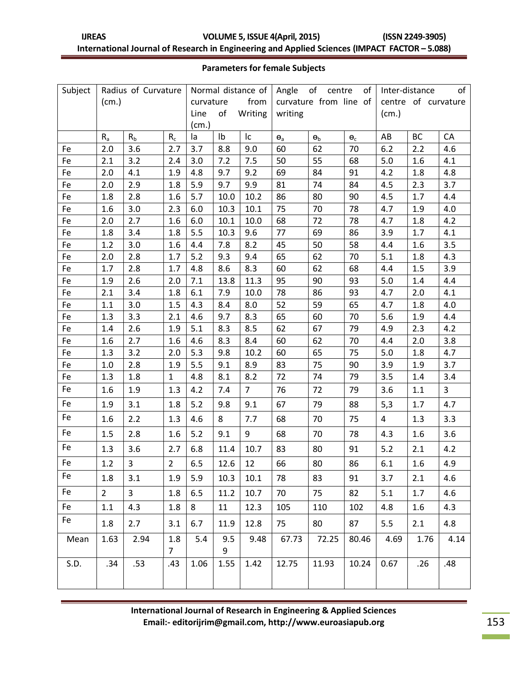| <b>UREAS</b> | <b>VOLUME 5, ISSUE 4(April, 2015)</b>                                                         | (ISSN 2249-3905) |
|--------------|-----------------------------------------------------------------------------------------------|------------------|
|              | International Journal of Research in Engineering and Applied Sciences (IMPACT FACTOR - 5.088) |                  |

#### **Parameters for female Subjects**

| Subject | Radius of Curvature |                         | Normal distance of    |                       |                | of<br>Angle<br>of<br>centre |                        |            | of<br>Inter-distance        |                |                     |      |  |
|---------|---------------------|-------------------------|-----------------------|-----------------------|----------------|-----------------------------|------------------------|------------|-----------------------------|----------------|---------------------|------|--|
|         | (cm.)               |                         |                       | from<br>curvature     |                |                             | curvature from line of |            |                             |                | centre of curvature |      |  |
|         |                     |                         |                       | of<br>Writing<br>Line |                |                             | writing                |            |                             | (cm.)          |                     |      |  |
|         |                     |                         | (cm.)                 |                       |                |                             |                        |            |                             |                |                     |      |  |
|         | $R_{a}$             | R <sub>b</sub>          | $R_c$                 | la                    | I <sub>b</sub> | Ic                          | $\Theta_{\text{a}}$    | $\Theta_b$ | $\pmb{\Theta}_{\texttt{C}}$ | AB             | <b>BC</b>           | CA   |  |
| Fe      | 2.0                 | 3.6                     | 2.7                   | 3.7                   | 8.8            | 9.0                         | 60                     | 62         | 70                          | 6.2            | 2.2                 | 4.6  |  |
| Fe      | 2.1                 | 3.2                     | 2.4                   | 3.0                   | 7.2            | 7.5                         | 50                     | 55         | 68                          | 5.0            | 1.6                 | 4.1  |  |
| Fe      | 2.0                 | 4.1                     | 1.9                   | 4.8                   | 9.7            | 9.2                         | 69                     | 84         | 91                          | 4.2            | 1.8                 | 4.8  |  |
| Fe      | 2.0                 | 2.9                     | 1.8                   | 5.9                   | 9.7            | 9.9                         | 81                     | 74         | 84                          | 4.5            | 2.3                 | 3.7  |  |
| Fe      | 1.8                 | 2.8                     | 1.6                   | 5.7                   | 10.0           | 10.2                        | 86                     | 80         | 90                          | 4.5            | 1.7                 | 4.4  |  |
| Fe      | 1.6                 | 3.0                     | 2.3                   | 6.0                   | 10.3           | 10.1                        | 75                     | 70         | 78                          | 4.7            | 1.9                 | 4.0  |  |
| Fe      | 2.0                 | 2.7                     | 1.6                   | 6.0                   | 10.1           | 10.0                        | 68                     | 72         | 78                          | 4.7            | $1.8\,$             | 4.2  |  |
| Fe      | 1.8                 | 3.4                     | 1.8                   | 5.5                   | 10.3           | 9.6                         | 77                     | 69         | 86                          | 3.9            | 1.7                 | 4.1  |  |
| Fe      | 1.2                 | 3.0                     | 1.6                   | 4.4                   | 7.8            | 8.2                         | 45                     | 50         | 58                          | 4.4            | 1.6                 | 3.5  |  |
| Fe      | 2.0                 | 2.8                     | 1.7                   | 5.2                   | 9.3            | 9.4                         | 65                     | 62         | 70                          | 5.1            | 1.8                 | 4.3  |  |
| Fe      | 1.7                 | 2.8                     | 1.7                   | 4.8                   | 8.6            | 8.3                         | 60                     | 62         | 68                          | 4.4            | 1.5                 | 3.9  |  |
| Fe      | 1.9                 | 2.6                     | 2.0                   | 7.1                   | 13.8           | 11.3                        | 95                     | 90         | 93                          | 5.0            | 1.4                 | 4.4  |  |
| Fe      | 2.1                 | 3.4                     | 1.8                   | 6.1                   | 7.9            | 10.0                        | 78                     | 86         | 93                          | 4.7            | 2.0                 | 4.1  |  |
| Fe      | 1.1                 | 3.0                     | 1.5                   | 4.3                   | 8.4            | 8.0                         | 52                     | 59         | 65                          | 4.7            | 1.8                 | 4.0  |  |
| Fe      | 1.3                 | 3.3                     | 2.1                   | 4.6                   | 9.7            | 8.3                         | 65                     | 60         | 70                          | 5.6            | 1.9                 | 4.4  |  |
| Fe      | 1.4                 | 2.6                     | 1.9                   | 5.1                   | 8.3            | 8.5                         | 62                     | 67         | 79                          | 4.9            | 2.3                 | 4.2  |  |
| Fe      | 1.6                 | 2.7                     | 1.6                   | 4.6                   | 8.3            | 8.4                         | 60                     | 62         | 70                          | 4.4            | 2.0                 | 3.8  |  |
| Fe      | 1.3                 | 3.2                     | 2.0                   | 5.3                   | 9.8            | 10.2                        | 60                     | 65         | 75                          | 5.0            | 1.8                 | 4.7  |  |
| Fe      | $1.0\,$             | 2.8                     | 1.9                   | 5.5                   | 9.1            | 8.9                         | 83                     | 75         | 90                          | 3.9            | 1.9                 | 3.7  |  |
| Fe      | 1.3                 | 1.8                     | $\mathbf{1}$          | 4.8                   | 8.1            | 8.2                         | 72                     | 74         | 79                          | 3.5            | 1.4                 | 3.4  |  |
| Fe      | 1.6                 | 1.9                     | 1.3                   | 4.2                   | 7.4            | $\overline{7}$              | 76                     | 72         | 79                          | 3.6            | 1.1                 | 3    |  |
| Fe      | 1.9                 | 3.1                     | 1.8                   | 5.2                   | 9.8            | 9.1                         | 67                     | 79         | 88                          | 5,3            | 1.7                 | 4.7  |  |
| Fe      | 1.6                 | 2.2                     | 1.3                   | 4.6                   | 8              | 7.7                         | 68                     | 70         | 75                          | $\overline{4}$ | 1.3                 | 3.3  |  |
| Fe      | 1.5                 | 2.8                     | 1.6                   | 5.2                   | 9.1            | 9                           | 68                     | 70         | 78                          | 4.3            | 1.6                 | 3.6  |  |
| Fe      | 1.3                 | 3.6                     | 2.7                   | 6.8                   | 11.4           | 10.7                        | 83                     | 80         | 91                          | 5.2            | 2.1                 | 4.2  |  |
| Fe      | 1.2                 | 3                       | $\overline{2}$        | 6.5                   | 12.6           | 12                          | 66                     | 80         | 86                          | 6.1            | 1.6                 | 4.9  |  |
| Fe      | 1.8                 | 3.1                     | 1.9                   | 5.9                   | 10.3           | 10.1                        | 78                     | 83         | 91                          | 3.7            | 2.1                 | 4.6  |  |
| Fe      | $2^{\circ}$         | $\overline{\mathbf{3}}$ | 1.8                   | 6.5                   | 11.2           | 10.7                        | 70                     | 75         | 82                          | 5.1            | 1.7                 | 4.6  |  |
| Fe      | $1.1\,$             | 4.3                     | 1.8                   | 8                     | 11             | 12.3                        | 105                    | 110        | 102                         | 4.8            | 1.6                 | 4.3  |  |
| Fe      | 1.8                 | 2.7                     | 3.1                   | 6.7                   | 11.9           | 12.8                        | 75                     | 80         | 87                          | 5.5            | 2.1                 | 4.8  |  |
| Mean    | 1.63                | 2.94                    | 1.8<br>$\overline{7}$ | 5.4                   | 9.5<br>9       | 9.48                        | 67.73                  | 72.25      | 80.46                       | 4.69           | 1.76                | 4.14 |  |
| S.D.    | .34                 | .53                     | .43                   | 1.06                  | 1.55           | 1.42                        | 12.75                  | 11.93      | 10.24                       | 0.67           | .26                 | .48  |  |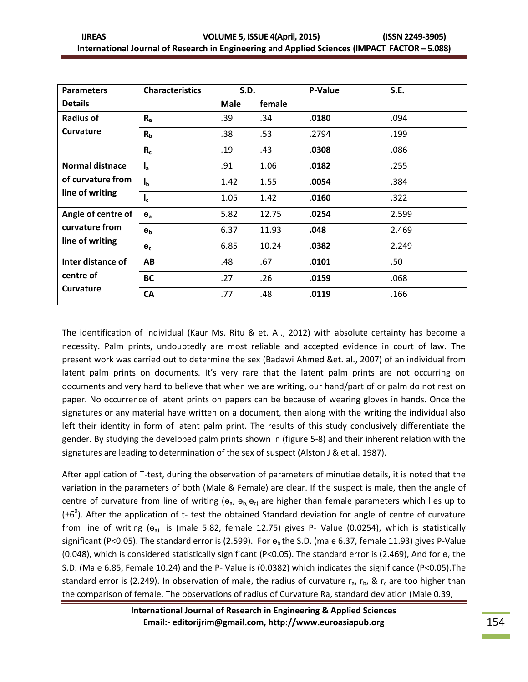| <b>Parameters</b>      | <b>Characteristics</b> | <b>S.D.</b> |        | P-Value | S.E.  |  |
|------------------------|------------------------|-------------|--------|---------|-------|--|
| <b>Details</b>         |                        | <b>Male</b> | female |         |       |  |
| <b>Radius of</b>       | $R_{a}$                | .39         | .34    | .0180   | .094  |  |
| <b>Curvature</b>       | R <sub>b</sub>         | .38         | .53    | .2794   | .199  |  |
|                        | $R_c$                  | .19         | .43    | .0308   | .086  |  |
| <b>Normal distnace</b> | $I_{a}$                | .91         | 1.06   | .0182   | .255  |  |
| of curvature from      | $I_{b}$                | 1.42        | 1.55   | .0054   | .384  |  |
| line of writing        | $I_c$                  | 1.05        | 1.42   | .0160   | .322  |  |
| Angle of centre of     | $\Theta_{a}$           | 5.82        | 12.75  | .0254   | 2.599 |  |
| curvature from         | $\Theta_b$             | 6.37        | 11.93  | .048    | 2.469 |  |
| line of writing        | $\Theta_c$             | 6.85        | 10.24  | .0382   | 2.249 |  |
| Inter distance of      | AB                     | .48         | .67    | .0101   | .50   |  |
| centre of              | <b>BC</b>              | .27         | .26    | .0159   | .068  |  |
| <b>Curvature</b>       | <b>CA</b>              | .77         | .48    | .0119   | .166  |  |

The identification of individual (Kaur Ms. Ritu & et. Al., 2012) with absolute certainty has become a necessity. Palm prints, undoubtedly are most reliable and accepted evidence in court of law. The present work was carried out to determine the sex (Badawi Ahmed &et. al., 2007) of an individual from latent palm prints on documents. It's very rare that the latent palm prints are not occurring on documents and very hard to believe that when we are writing, our hand/part of or palm do not rest on paper. No occurrence of latent prints on papers can be because of wearing gloves in hands. Once the signatures or any material have written on a document, then along with the writing the individual also left their identity in form of latent palm print. The results of this study conclusively differentiate the gender. By studying the developed palm prints shown in (figure 5-8) and their inherent relation with the signatures are leading to determination of the sex of suspect (Alston J & et al. 1987).

After application of T-test, during the observation of parameters of minutiae details, it is noted that the variation in the parameters of both (Male & Female) are clear. If the suspect is male, then the angle of centre of curvature from line of writing ( $\theta_a$ ,  $\theta_b$ ,  $\theta_c$ ), are higher than female parameters which lies up to  $(\pm 6^0)$ . After the application of t- test the obtained Standard deviation for angle of centre of curvature from line of writing  $(e_{a})$  is (male 5.82, female 12.75) gives P- Value (0.0254), which is statistically significant (P<0.05). The standard error is (2.599). For  $\theta_b$  the S.D. (male 6.37, female 11.93) gives P-Value (0.048), which is considered statistically significant (P<0.05). The standard error is (2.469), And for  $e_c$  the S.D. (Male 6.85, Female 10.24) and the P- Value is (0.0382) which indicates the significance (P<0.05).The standard error is (2.249). In observation of male, the radius of curvature  $r_a$ ,  $r_b$ , &  $r_c$  are too higher than the comparison of female. The observations of radius of Curvature Ra, standard deviation (Male 0.39,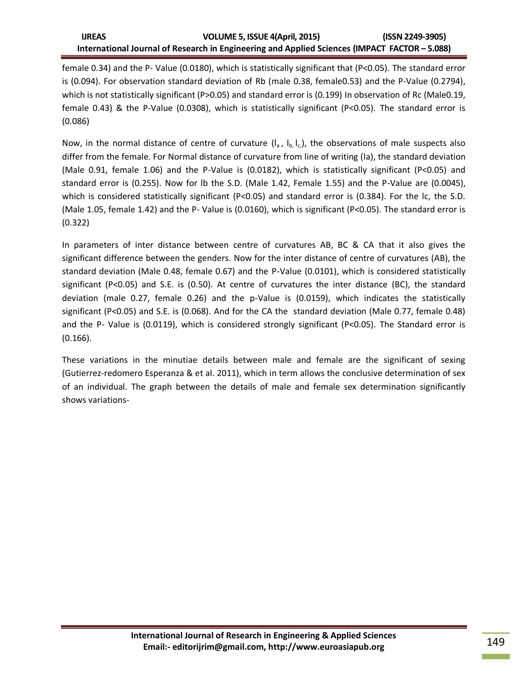female 0.34) and the P- Value (0.0180), which is statistically significant that (P<0.05). The standard error is (0.094). For observation standard deviation of Rb (male 0.38, female0.53) and the P-Value (0.2794), which is not statistically significant (P>0.05) and standard error is (0.199) In observation of Rc (Male0.19, female 0.43) & the P-Value (0.0308), which is statistically significant (P<0.05). The standard error is (0.086)

Now, in the normal distance of centre of curvature  $(I_a, I_b, I_c)$ , the observations of male suspects also differ from the female. For Normal distance of curvature from line of writing (la), the standard deviation (Male 0.91, female 1.06) and the P-Value is (0.0182), which is statistically significant (P<0.05) and standard error is (0.255). Now for lb the S.D. (Male 1.42, Female 1.55) and the P-Value are (0.0045), which is considered statistically significant (P<0.05) and standard error is (0.384). For the lc, the S.D. (Male 1.05, female 1.42) and the P- Value is (0.0160), which is significant (P<0.05). The standard error is (0.322)

In parameters of inter distance between centre of curvatures AB, BC & CA that it also gives the significant difference between the genders. Now for the inter distance of centre of curvatures (AB), the standard deviation (Male 0.48, female 0.67) and the P-Value (0.0101), which is considered statistically significant (P<0.05) and S.E. is (0.50). At centre of curvatures the inter distance (BC), the standard deviation (male 0.27, female 0.26) and the p-Value is (0.0159), which indicates the statistically significant (P<0.05) and S.E. is (0.068). And for the CA the standard deviation (Male 0.77, female 0.48) and the P- Value is (0.0119), which is considered strongly significant (P<0.05). The Standard error is (0.166).

These variations in the minutiae details between male and female are the significant of sexing (Gutierrez-redomero Esperanza & et al. 2011), which in term allows the conclusive determination of sex of an individual. The graph between the details of male and female sex determination significantly shows variations-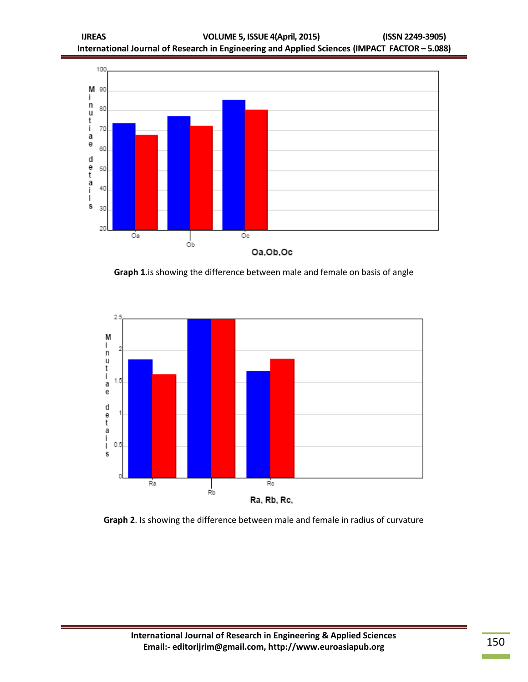

**Graph 1**.is showing the difference between male and female on basis of angle



**Graph 2**. Is showing the difference between male and female in radius of curvature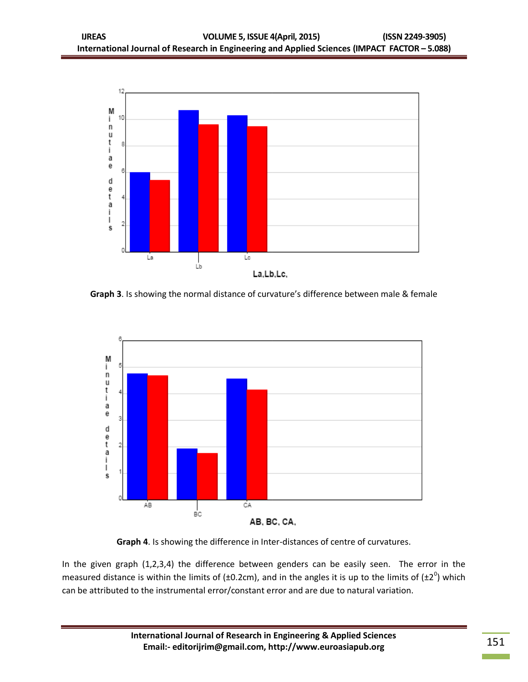

**Graph 3**. Is showing the normal distance of curvature's difference between male & female



**Graph 4**. Is showing the difference in Inter-distances of centre of curvatures.

In the given graph (1,2,3,4) the difference between genders can be easily seen. The error in the measured distance is within the limits of (±0.2cm), and in the angles it is up to the limits of (±2<sup>0</sup>) which can be attributed to the instrumental error/constant error and are due to natural variation.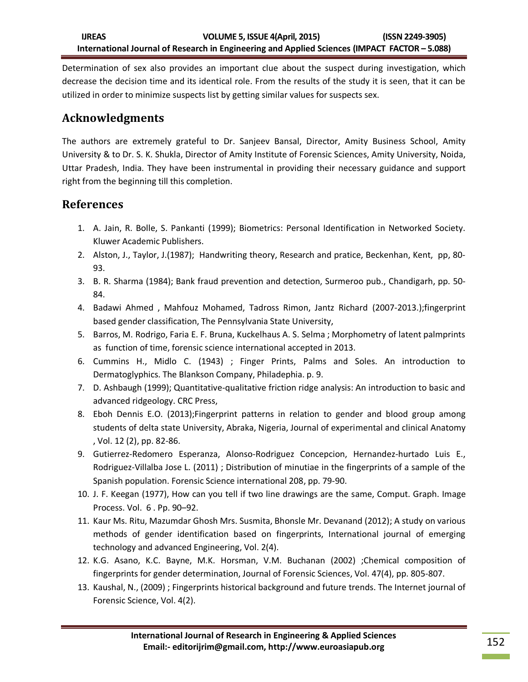Determination of sex also provides an important clue about the suspect during investigation, which decrease the decision time and its identical role. From the results of the study it is seen, that it can be utilized in order to minimize suspects list by getting similar values for suspects sex.

# **Acknowledgments**

The authors are extremely grateful to Dr. Sanjeev Bansal, Director, Amity Business School, Amity University & to Dr. S. K. Shukla, Director of Amity Institute of Forensic Sciences, Amity University, Noida, Uttar Pradesh, India. They have been instrumental in providing their necessary guidance and support right from the beginning till this completion.

#### **References**

- 1. A. Jain, R. Bolle, S. Pankanti (1999); Biometrics: Personal Identification in Networked Society. Kluwer Academic Publishers.
- 2. Alston, J., Taylor, J.(1987); Handwriting theory, Research and pratice, Beckenhan, Kent, pp, 80- 93.
- 3. B. R. Sharma (1984); Bank fraud prevention and detection, Surmeroo pub., Chandigarh, pp. 50- 84.
- 4. Badawi Ahmed , Mahfouz Mohamed, Tadross Rimon, Jantz Richard (2007-2013.);fingerprint based gender classification, The Pennsylvania State University,
- 5. Barros, M. Rodrigo, Faria E. F. Bruna, Kuckelhaus A. S. Selma ; Morphometry of latent palmprints as function of time, forensic science international accepted in 2013.
- 6. Cummins H., Midlo C. (1943) ; Finger Prints, Palms and Soles. An introduction to Dermatoglyphics. The Blankson Company, Philadephia. p. 9.
- 7. D. Ashbaugh (1999); Quantitative-qualitative friction ridge analysis: An introduction to basic and advanced ridgeology. CRC Press,
- 8. Eboh Dennis E.O. (2013);Fingerprint patterns in relation to gender and blood group among students of delta state University, Abraka, Nigeria, Journal of experimental and clinical Anatomy , Vol. 12 (2), pp. 82-86.
- 9. Gutierrez-Redomero Esperanza, Alonso-Rodriguez Concepcion, Hernandez-hurtado Luis E., Rodriguez-Villalba Jose L. (2011) ; Distribution of minutiae in the fingerprints of a sample of the Spanish population. Forensic Science international 208, pp. 79-90.
- 10. J. F. Keegan (1977), How can you tell if two line drawings are the same, Comput. Graph. Image Process. Vol. 6 . Pp. 90–92.
- 11. Kaur Ms. Ritu, Mazumdar Ghosh Mrs. Susmita, Bhonsle Mr. Devanand (2012); A study on various methods of gender identification based on fingerprints, International journal of emerging technology and advanced Engineering, Vol. 2(4).
- 12. K.G. Asano, K.C. Bayne, M.K. Horsman, V.M. Buchanan (2002) ;Chemical composition of fingerprints for gender determination, Journal of Forensic Sciences, Vol. 47(4), pp. 805-807.
- 13. Kaushal, N., (2009) ; Fingerprints historical background and future trends. The Internet journal of Forensic Science, Vol. 4(2).